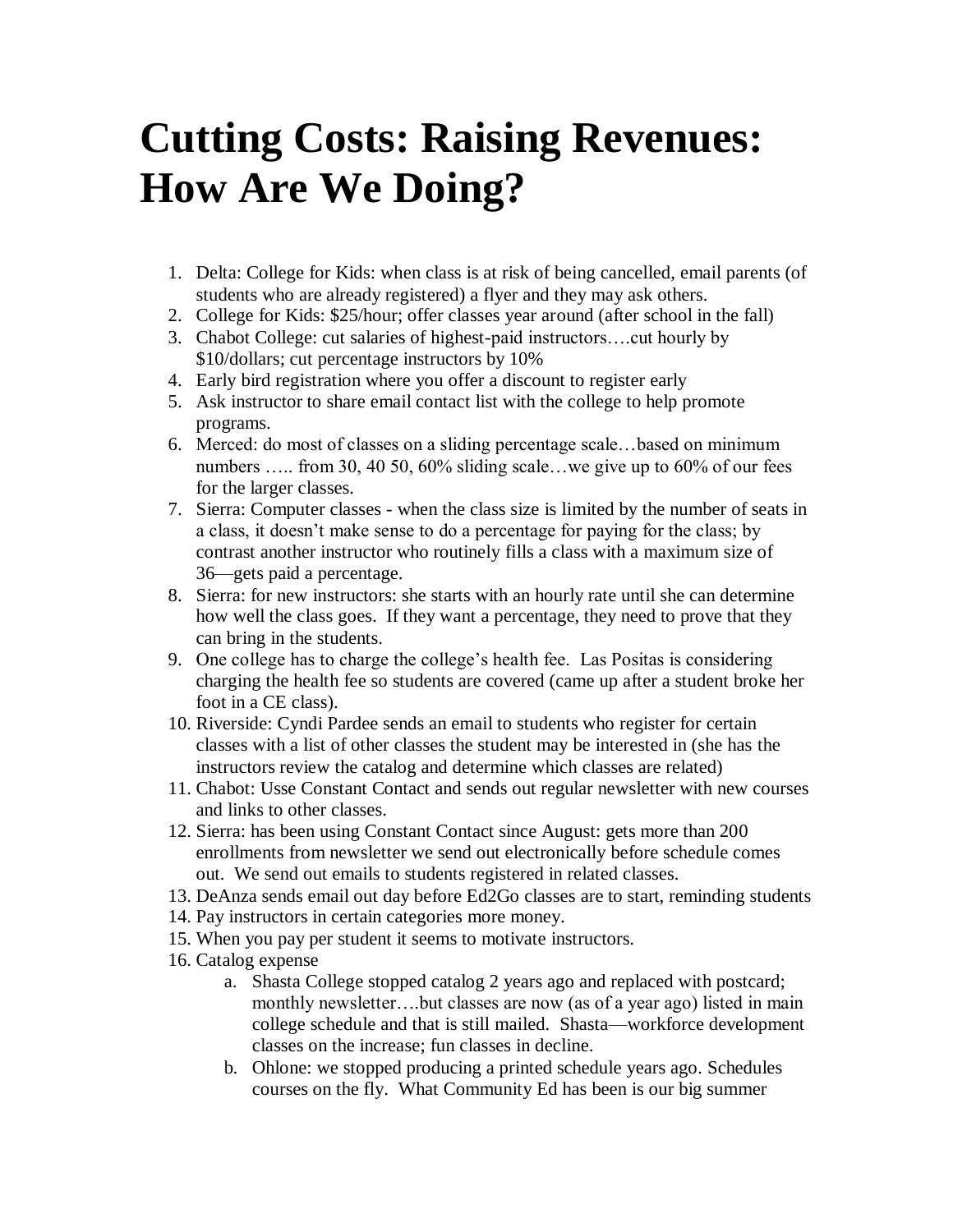## **Cutting Costs: Raising Revenues: How Are We Doing?**

- 1. Delta: College for Kids: when class is at risk of being cancelled, email parents (of students who are already registered) a flyer and they may ask others.
- 2. College for Kids: \$25/hour; offer classes year around (after school in the fall)
- 3. Chabot College: cut salaries of highest-paid instructors….cut hourly by \$10/dollars; cut percentage instructors by 10%
- 4. Early bird registration where you offer a discount to register early
- 5. Ask instructor to share email contact list with the college to help promote programs.
- 6. Merced: do most of classes on a sliding percentage scale…based on minimum numbers ..... from 30, 40 50, 60% sliding scale...we give up to 60% of our fees for the larger classes.
- 7. Sierra: Computer classes when the class size is limited by the number of seats in a class, it doesn't make sense to do a percentage for paying for the class; by contrast another instructor who routinely fills a class with a maximum size of 36—gets paid a percentage.
- 8. Sierra: for new instructors: she starts with an hourly rate until she can determine how well the class goes. If they want a percentage, they need to prove that they can bring in the students.
- 9. One college has to charge the college's health fee. Las Positas is considering charging the health fee so students are covered (came up after a student broke her foot in a CE class).
- 10. Riverside: Cyndi Pardee sends an email to students who register for certain classes with a list of other classes the student may be interested in (she has the instructors review the catalog and determine which classes are related)
- 11. Chabot: Usse Constant Contact and sends out regular newsletter with new courses and links to other classes.
- 12. Sierra: has been using Constant Contact since August: gets more than 200 enrollments from newsletter we send out electronically before schedule comes out. We send out emails to students registered in related classes.
- 13. DeAnza sends email out day before Ed2Go classes are to start, reminding students
- 14. Pay instructors in certain categories more money.
- 15. When you pay per student it seems to motivate instructors.
- 16. Catalog expense
	- a. Shasta College stopped catalog 2 years ago and replaced with postcard; monthly newsletter….but classes are now (as of a year ago) listed in main college schedule and that is still mailed. Shasta—workforce development classes on the increase; fun classes in decline.
	- b. Ohlone: we stopped producing a printed schedule years ago. Schedules courses on the fly. What Community Ed has been is our big summer